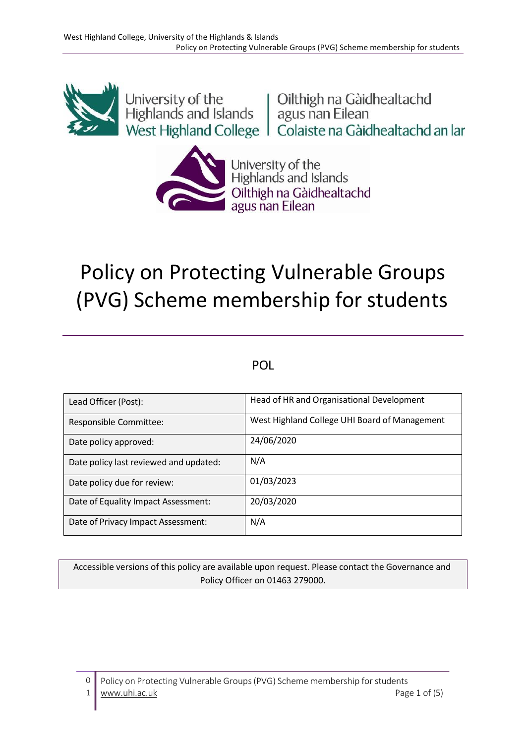

University of the<br>
Highlands and Islands<br>
West Highland College<br>
Colaiste na Gàidhealtachd an Iar



University of the<br>Highlands and Islands Cilthigh na Gàidhealtachd<br>agus nan Eilean

# Policy on Protecting Vulnerable Groups (PVG) Scheme membership for students

## POL

| Lead Officer (Post):                   | Head of HR and Organisational Development     |
|----------------------------------------|-----------------------------------------------|
| Responsible Committee:                 | West Highland College UHI Board of Management |
| Date policy approved:                  | 24/06/2020                                    |
| Date policy last reviewed and updated: | N/A                                           |
| Date policy due for review:            | 01/03/2023                                    |
| Date of Equality Impact Assessment:    | 20/03/2020                                    |
| Date of Privacy Impact Assessment:     | N/A                                           |

Accessible versions of this policy are available upon request. Please contact the Governance and Policy Officer on 01463 279000.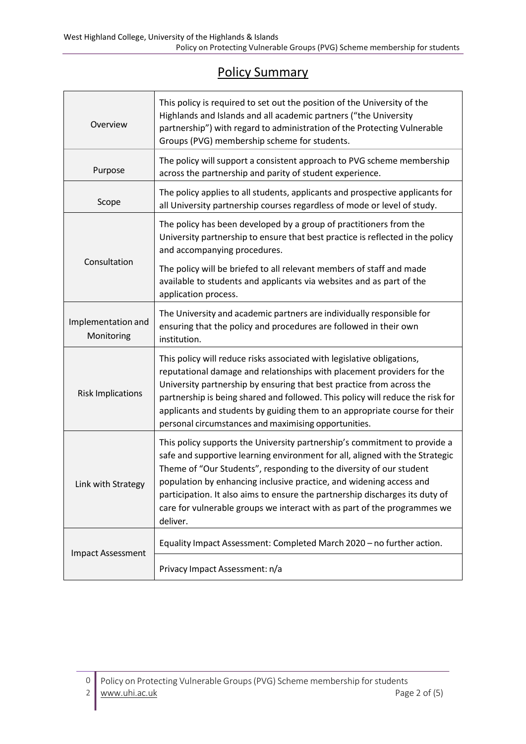# Policy Summary

| Overview                         | This policy is required to set out the position of the University of the<br>Highlands and Islands and all academic partners ("the University<br>partnership") with regard to administration of the Protecting Vulnerable<br>Groups (PVG) membership scheme for students.                                                                                                                                                                                                        |  |  |
|----------------------------------|---------------------------------------------------------------------------------------------------------------------------------------------------------------------------------------------------------------------------------------------------------------------------------------------------------------------------------------------------------------------------------------------------------------------------------------------------------------------------------|--|--|
| Purpose                          | The policy will support a consistent approach to PVG scheme membership<br>across the partnership and parity of student experience.                                                                                                                                                                                                                                                                                                                                              |  |  |
| Scope                            | The policy applies to all students, applicants and prospective applicants for<br>all University partnership courses regardless of mode or level of study.                                                                                                                                                                                                                                                                                                                       |  |  |
| Consultation                     | The policy has been developed by a group of practitioners from the<br>University partnership to ensure that best practice is reflected in the policy<br>and accompanying procedures.                                                                                                                                                                                                                                                                                            |  |  |
|                                  | The policy will be briefed to all relevant members of staff and made<br>available to students and applicants via websites and as part of the<br>application process.                                                                                                                                                                                                                                                                                                            |  |  |
| Implementation and<br>Monitoring | The University and academic partners are individually responsible for<br>ensuring that the policy and procedures are followed in their own<br>institution.                                                                                                                                                                                                                                                                                                                      |  |  |
| <b>Risk Implications</b>         | This policy will reduce risks associated with legislative obligations,<br>reputational damage and relationships with placement providers for the<br>University partnership by ensuring that best practice from across the<br>partnership is being shared and followed. This policy will reduce the risk for<br>applicants and students by guiding them to an appropriate course for their<br>personal circumstances and maximising opportunities.                               |  |  |
| Link with Strategy               | This policy supports the University partnership's commitment to provide a<br>safe and supportive learning environment for all, aligned with the Strategic<br>Theme of "Our Students", responding to the diversity of our student<br>population by enhancing inclusive practice, and widening access and<br>participation. It also aims to ensure the partnership discharges its duty of<br>care for vulnerable groups we interact with as part of the programmes we<br>deliver. |  |  |
| <b>Impact Assessment</b>         | Equality Impact Assessment: Completed March 2020 - no further action.                                                                                                                                                                                                                                                                                                                                                                                                           |  |  |
|                                  | Privacy Impact Assessment: n/a                                                                                                                                                                                                                                                                                                                                                                                                                                                  |  |  |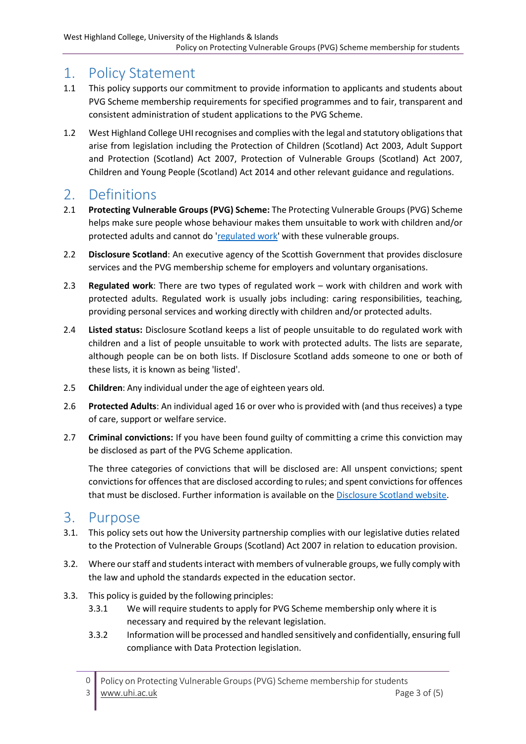## 1. Policy Statement

- 1.1 This policy supports our commitment to provide information to applicants and students about PVG Scheme membership requirements for specified programmes and to fair, transparent and consistent administration of student applications to the PVG Scheme.
- 1.2 West Highland College UHIrecognises and complies with the legal and statutory obligationsthat arise from legislation including the Protection of Children (Scotland) Act 2003, Adult Support and Protection (Scotland) Act 2007, Protection of Vulnerable Groups (Scotland) Act 2007, Children and Young People (Scotland) Act 2014 and other relevant guidance and regulations.

# 2. Definitions

- 2.1 **Protecting Vulnerable Groups (PVG) Scheme:** The Protecting Vulnerable Groups (PVG) Scheme helps make sure people whose behaviour makes them unsuitable to work with children and/or protected adults and cannot d[o 'regulated work' w](https://www.mygov.scot/pvg-scheme/types-of-work-covered-by-pvg/)ith these vulnerable groups.
- 2.2 **Disclosure Scotland**: An executive agency of the Scottish Government that provides disclosure services and the PVG membership scheme for employers and voluntary organisations.
- 2.3 **Regulated work**: There are two types of regulated work work with children and work with protected adults. Regulated work is usually jobs including: caring responsibilities, teaching, providing personal services and working directly with children and/or protected adults.
- 2.4 **Listed status:** Disclosure Scotland keeps a list of people unsuitable to do regulated work with children and a list of people unsuitable to work with protected adults. The lists are separate, although people can be on both lists. If Disclosure Scotland adds someone to one or both of these lists, it is known as being 'listed'.
- 2.5 **Children**: Any individual under the age of eighteen years old.
- 2.6 **Protected Adults**: An individual aged 16 or over who is provided with (and thus receives) a type of care, support or welfare service.
- 2.7 **Criminal convictions:** If you have been found guilty of committing a crime this conviction may be disclosed as part of the PVG Scheme application.

The three categories of convictions that will be disclosed are: All unspent convictions; spent convictionsfor offencesthat are disclosed according to rules; and spent convictionsfor offences that must be disclosed. Further information is available on the [Disclosure Scotland website.](https://www.mygov.scot/convictions-higher-disclosures/)

#### 3. Purpose

- 3.1. This policy sets out how the University partnership complies with our legislative duties related to the Protection of Vulnerable Groups (Scotland) Act 2007 in relation to education provision.
- 3.2. Where our staff and students interact with members of vulnerable groups, we fully comply with the law and uphold the standards expected in the education sector.
- 3.3. This policy is guided by the following principles:
	- 3.3.1 We will require students to apply for PVG Scheme membership only where it is necessary and required by the relevant legislation.
	- 3.3.2 Information will be processed and handled sensitively and confidentially, ensuring full compliance with Data Protection legislation.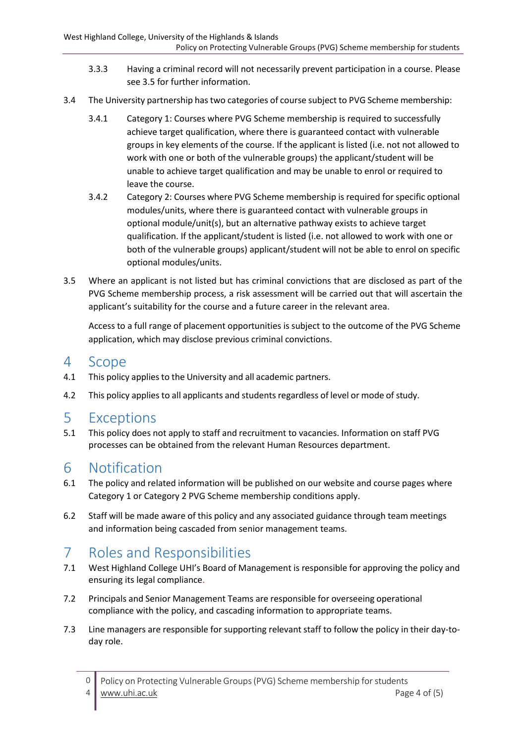- 3.3.3 Having a criminal record will not necessarily prevent participation in a course. Please see 3.5 for further information.
- 3.4 The University partnership hastwo categories of course subject to PVG Scheme membership:
	- 3.4.1 Category 1: Courses where PVG Scheme membership is required to successfully achieve target qualification, where there is guaranteed contact with vulnerable groups in key elements of the course. If the applicant is listed (i.e. not not allowed to work with one or both of the vulnerable groups) the applicant/student will be unable to achieve target qualification and may be unable to enrol or required to leave the course.
	- 3.4.2 Category 2: Courses where PVG Scheme membership is required for specific optional modules/units, where there is guaranteed contact with vulnerable groups in optional module/unit(s), but an alternative pathway exists to achieve target qualification. If the applicant/student is listed (i.e. not allowed to work with one or both of the vulnerable groups) applicant/student will not be able to enrol on specific optional modules/units.
- 3.5 Where an applicant is not listed but has criminal convictions that are disclosed as part of the PVG Scheme membership process, a risk assessment will be carried out that will ascertain the applicant's suitability for the course and a future career in the relevant area.

Access to a full range of placement opportunities is subject to the outcome of the PVG Scheme application, which may disclose previous criminal convictions.

#### 4 Scope

- 4.1 This policy applies to the University and all academic partners.
- 4.2 This policy applies to all applicants and students regardless of level or mode of study.

#### 5 Exceptions

5.1 This policy does not apply to staff and recruitment to vacancies. Information on staff PVG processes can be obtained from the relevant Human Resources department.

#### 6 Notification

- 6.1 The policy and related information will be published on our website and course pages where Category 1 or Category 2 PVG Scheme membership conditions apply.
- 6.2 Staff will be made aware of this policy and any associated guidance through team meetings and information being cascaded from senior management teams.

# 7 Roles and Responsibilities

- 7.1 West Highland College UHI's Board of Management is responsible for approving the policy and ensuring its legal compliance.
- 7.2 Principals and Senior Management Teams are responsible for overseeing operational compliance with the policy, and cascading information to appropriate teams.
- 7.3 Line managers are responsible for supporting relevant staff to follow the policy in their day-today role.